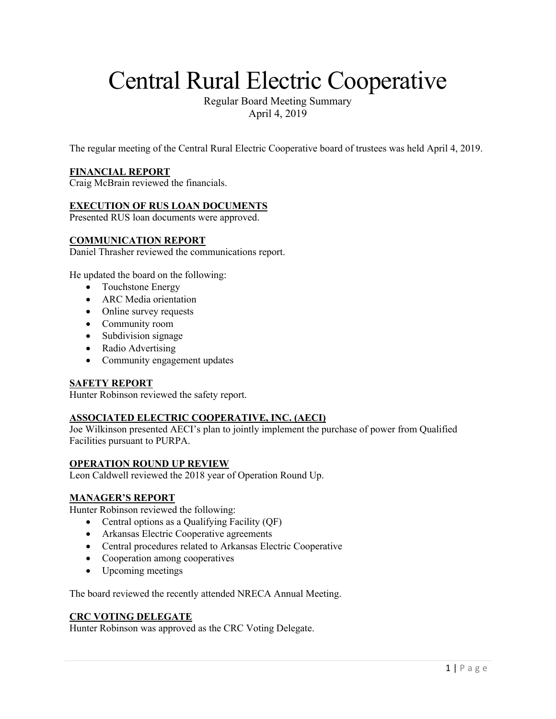# Central Rural Electric Cooperative

Regular Board Meeting Summary April 4, 2019

The regular meeting of the Central Rural Electric Cooperative board of trustees was held April 4, 2019.

# **FINANCIAL REPORT**

Craig McBrain reviewed the financials.

# **EXECUTION OF RUS LOAN DOCUMENTS**

Presented RUS loan documents were approved.

#### **COMMUNICATION REPORT**

Daniel Thrasher reviewed the communications report.

He updated the board on the following:

- Touchstone Energy
- ARC Media orientation
- Online survey requests
- Community room
- Subdivision signage
- Radio Advertising
- Community engagement updates

#### **SAFETY REPORT**

Hunter Robinson reviewed the safety report.

# **ASSOCIATED ELECTRIC COOPERATIVE, INC. (AECI)**

Joe Wilkinson presented AECI's plan to jointly implement the purchase of power from Qualified Facilities pursuant to PURPA.

#### **OPERATION ROUND UP REVIEW**

Leon Caldwell reviewed the 2018 year of Operation Round Up.

# **MANAGER'S REPORT**

Hunter Robinson reviewed the following:

- Central options as a Qualifying Facility (QF)
- Arkansas Electric Cooperative agreements
- Central procedures related to Arkansas Electric Cooperative
- Cooperation among cooperatives
- Upcoming meetings

The board reviewed the recently attended NRECA Annual Meeting.

# **CRC VOTING DELEGATE**

Hunter Robinson was approved as the CRC Voting Delegate.